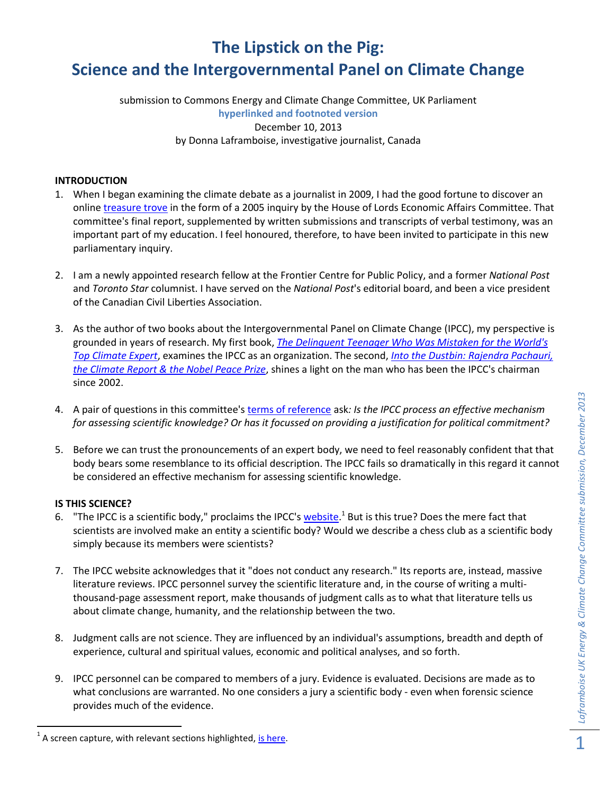# **The Lipstick on the Pig: Science and the Intergovernmental Panel on Climate Change**

submission to Commons Energy and Climate Change Committee, UK Parliament **hyperlinked and footnoted version** December 10, 2013 by Donna Laframboise, investigative journalist, Canada

# **INTRODUCTION**

- 1. When I began examining the climate debate as a journalist in 2009, I had the good fortune to discover an online [treasure trove](http://www.publications.parliament.uk/pa/ld200506/ldselect/ldeconaf/12/1202.htm#evidence) in the form of a 2005 inquiry by the House of Lords Economic Affairs Committee. That committee's final report, supplemented by written submissions and transcripts of verbal testimony, was an important part of my education. I feel honoured, therefore, to have been invited to participate in this new parliamentary inquiry.
- 2. I am a newly appointed research fellow at the Frontier Centre for Public Policy, and a former *National Post* and *Toronto Star* columnist. I have served on the *National Post*'s editorial board, and been a vice president of the Canadian Civil Liberties Association.
- 3. As the author of two books about the Intergovernmental Panel on Climate Change (IPCC), my perspective is grounded in years of research. My first book, *[The Delinquent Teenager Who Was Mistaken for the World's](http://www.amazon.com/Delinquent-Teenager-Mistaken-Climate-ebook/dp/B005UEVB8Q/ref=sr_1_1?ie=UTF8&qid=1318623567&sr=8-1)  [Top Climate Expert](http://www.amazon.com/Delinquent-Teenager-Mistaken-Climate-ebook/dp/B005UEVB8Q/ref=sr_1_1?ie=UTF8&qid=1318623567&sr=8-1)*, examines the IPCC as an organization. The second, *[Into the Dustbin: Rajendra Pachauri,](http://www.amazon.com/Into-Dustbin-Rajendra-Pachauri-Climate-ebook/dp/B00F2TZU1I/ref=la_B00EZWIV7S_1_2?s=books&ie=UTF8&qid=1387384509&sr=1-2)  [the Climate Report & the Nobel Peace Prize](http://www.amazon.com/Into-Dustbin-Rajendra-Pachauri-Climate-ebook/dp/B00F2TZU1I/ref=la_B00EZWIV7S_1_2?s=books&ie=UTF8&qid=1387384509&sr=1-2)*, shines a light on the man who has been the IPCC's chairman since 2002.
- 4. A pair of questions in this committee's [terms of reference](http://www.parliament.uk/business/committees/committees-a-z/commons-select/energy-and-climate-change-committee/news/ipcc---tor/) ask*: Is the IPCC process an effective mechanism for assessing scientific knowledge? Or has it focussed on providing a justification for political commitment?*
- 5. Before we can trust the pronouncements of an expert body, we need to feel reasonably confident that that body bears some resemblance to its official description. The IPCC fails so dramatically in this regard it cannot be considered an effective mechanism for assessing scientific knowledge.

## **IS THIS SCIENCE?**

- 6. "The IPCC is a scientific body," proclaims the IPCC's [website.](http://ipcc.ch/organization/organization.shtml#.UrHPUbSOdYQ)<sup>1</sup> But is this true? Does the mere fact that scientists are involved make an entity a scientific body? Would we describe a chess club as a scientific body simply because its members were scientists?
- 7. The IPCC website acknowledges that it "does not conduct any research." Its reports are, instead, massive literature reviews. IPCC personnel survey the scientific literature and, in the course of writing a multithousand-page assessment report, make thousands of judgment calls as to what that literature tells us about climate change, humanity, and the relationship between the two.
- 8. Judgment calls are not science. They are influenced by an individual's assumptions, breadth and depth of experience, cultural and spiritual values, economic and political analyses, and so forth.
- 9. IPCC personnel can be compared to members of a jury. Evidence is evaluated. Decisions are made as to what conclusions are warranted. No one considers a jury a scientific body - even when forensic science provides much of the evidence.

l <sup>1</sup> A screen capture, with relevant sections highlighted, <u>is here</u>.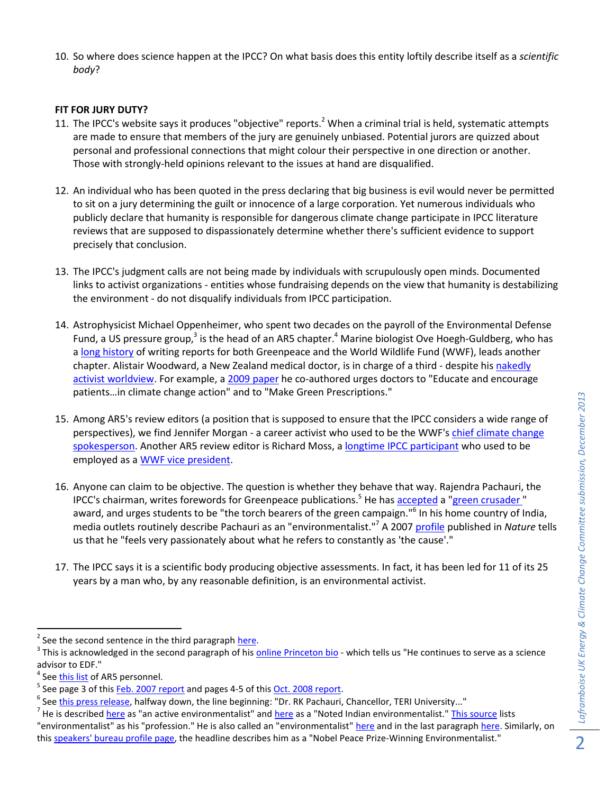10. So where does science happen at the IPCC? On what basis does this entity loftily describe itself as a *scientific body*?

## **FIT FOR JURY DUTY?**

- 11. The IPCC's website says it produces "objective" reports.<sup>2</sup> When a criminal trial is held, systematic attempts are made to ensure that members of the jury are genuinely unbiased. Potential jurors are quizzed about personal and professional connections that might colour their perspective in one direction or another. Those with strongly-held opinions relevant to the issues at hand are disqualified.
- 12. An individual who has been quoted in the press declaring that big business is evil would never be permitted to sit on a jury determining the guilt or innocence of a large corporation. Yet numerous individuals who publicly declare that humanity is responsible for dangerous climate change participate in IPCC literature reviews that are supposed to dispassionately determine whether there's sufficient evidence to support precisely that conclusion.
- 13. The IPCC's judgment calls are not being made by individuals with scrupulously open minds. Documented links to activist organizations - entities whose fundraising depends on the view that humanity is destabilizing the environment - do not disqualify individuals from IPCC participation.
- 14. Astrophysicist Michael Oppenheimer, who spent two decades on the payroll of the Environmental Defense Fund, a US pressure group,<sup>3</sup> is the head of an AR5 chapter.<sup>4</sup> Marine biologist Ove Hoegh-Guldberg, who has [a long history](http://nofrakkingconsensus.com/2013/11/04/ipcc-summary-the-real-story/) of writing reports for both Greenpeace and the World Wildlife Fund (WWF), leads another chapter. Alistair Woodward, a New Zealand medical doctor, is in charge of a third - despite hi[s nakedly](http://nofrakkingconsensus.com/2010/08/25/ipcc-author-profile-alistair-woodward/)  [activist worldview.](http://nofrakkingconsensus.com/2010/08/25/ipcc-author-profile-alistair-woodward/) For example, a 2009 [paper](http://journal.nzma.org.nz/journal/122-1304/3827/) he co-authored urges doctors to "Educate and encourage patients…in climate change action" and to "Make Green Prescriptions."
- 15. Among AR5's review editors (a position that is supposed to ensure that the IPCC considers a wide range of perspectives), we find Jennifer Morgan - a career activist who used to be the WWF's [chief climate change](http://nofrakkingconsensus.files.wordpress.com/2013/01/jennifer_morgan_www_chief_s.jpg)  [spokesperson.](http://nofrakkingconsensus.files.wordpress.com/2013/01/jennifer_morgan_www_chief_s.jpg) Another AR5 review editor is Richard Moss, a [longtime IPCC participant](http://www.webcitation.org/5wwGminLh) who used to be employed as a [WWF vice president.](http://worldwildlife.org/press-releases/world-wildlife-fund-names-climate-expert-richard-moss-as-vice-president-and-managing-director-for-climate-change)
- 16. Anyone can claim to be objective. The question is whether they behave that way. Rajendra Pachauri, the IPCC's chairman, writes forewords for Greenpeace publications.<sup>5</sup> He has [accepted](http://www.webcitation.org/6610FG0hD) a ["green crusader](http://www.webcitation.org/6610LITbv) " award, and urges students to be "the torch bearers of the green campaign."<sup>6</sup> In his home country of India, media outlets routinely describe Pachauri as an "environmentalist."<sup>7</sup> A 2007 [profile](http://www.nature.com/news/2007/071219/full/4501150a.html) published in *Nature* tells us that he "feels very passionately about what he refers to constantly as 'the cause'."
- 17. The IPCC says it is a scientific body producing objective assessments. In fact, it has been led for 11 of its 25 years by a man who, by any reasonable definition, is an environmental activist.

 $\overline{\phantom{a}}$ 

<sup>&</sup>lt;sup>2</sup> See the second sentence in the third paragraph [here.](http://ipcc.ch/organization/organization.shtml#.UrHQHrSOdYT)

<sup>&</sup>lt;sup>3</sup> This is acknowledged in the second paragraph of his <u>online Princeton bio</u> - which tells us "He continues to serve as a science advisor to EDF."

<sup>4</sup> See [this list](http://www.ipcc.ch/pdf/ar5/ar5_authors_review_editors_updated.pdf) of AR5 personnel.

<sup>&</sup>lt;sup>5</sup> See page 3 of this *Feb. 2007 report* and pages 4-5 of this <u>Oct. 2008 report</u>.

<sup>&</sup>lt;sup>6</sup> See <u>this press release</u>, halfway down, the line beginning: "Dr. RK Pachauri, Chancellor, TERI University..."

<sup>&</sup>lt;sup>7</sup> He is described <u>here</u> as "an active environmentalist" and <u>here</u> as a "Noted Indian environmentalist." <u>This source</u> lists

<sup>&</sup>quot;environmentalist" as his "profession." He is also called an "environmentalist" [here](http://www.rediff.com/news/2007/oct/12sld1.htm) and in the last paragraph [here.](http://www.patnadaily.com/index.php/news/6569-pachauri-to-help-bihar-formulate-climate-policy.html) Similarly, on this [speakers' bureau profile page,](http://www.apbspeakers.com/speaker/rajendra-pachauri) the headline describes him as a "Nobel Peace Prize-Winning Environmentalist."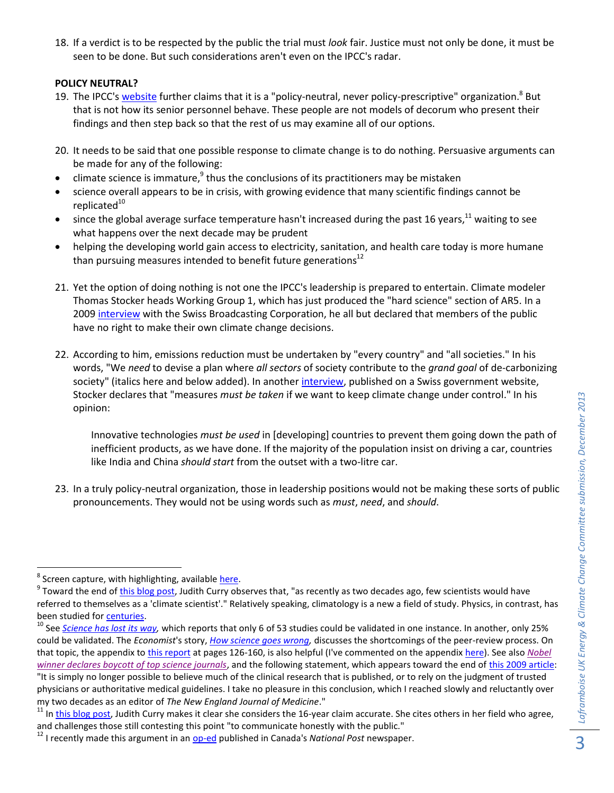18. If a verdict is to be respected by the public the trial must *look* fair. Justice must not only be done, it must be seen to be done. But such considerations aren't even on the IPCC's radar.

#### **POLICY NEUTRAL?**

- 19. The IPCC's <u>website</u> further claims that it is a "policy-neutral, never policy-prescriptive" organization.<sup>8</sup> But that is not how its senior personnel behave. These people are not models of decorum who present their findings and then step back so that the rest of us may examine all of our options.
- 20. It needs to be said that one possible response to climate change is to do nothing. Persuasive arguments can be made for any of the following:
- $\bullet$  climate science is immature,  $^9$  thus the conclusions of its practitioners may be mistaken
- science overall appears to be in crisis, with growing evidence that many scientific findings cannot be replicated $10$
- since the global average surface temperature hasn't increased during the past 16 years, $^{11}$  waiting to see what happens over the next decade may be prudent
- helping the developing world gain access to electricity, sanitation, and health care today is more humane than pursuing measures intended to benefit future generations<sup>12</sup>
- 21. Yet the option of doing nothing is not one the IPCC's leadership is prepared to entertain. Climate modeler Thomas Stocker heads Working Group 1, which has just produced the "hard science" section of AR5. In a 200[9 interview](http://www.swissinfo.ch/eng/specials/climate_change/news/Swiss_urged_to_pursue_bolder_climate_policy.html?cid=70020) with the Swiss Broadcasting Corporation, he all but declared that members of the public have no right to make their own climate change decisions.
- 22. According to him, emissions reduction must be undertaken by "every country" and "all societies." In his words, "We *need* to devise a plan where *all sectors* of society contribute to the *grand goal* of de-carbonizing society" (italics here and below added). In anothe[r interview,](http://www.sdc.admin.ch/en/Dossiers/Dossier_Climate_change/Interview_with_Thomas_Stocker) published on a Swiss government website, Stocker declares that "measures *must be taken* if we want to keep climate change under control." In his opinion:

Innovative technologies *must be used* in [developing] countries to prevent them going down the path of inefficient products, as we have done. If the majority of the population insist on driving a car, countries like India and China *should start* from the outset with a two-litre car.

23. In a truly policy-neutral organization, those in leadership positions would not be making these sorts of public pronouncements. They would not be using words such as *must*, *need*, and *should*.

 8 Screen capture, with highlighting, available [here.](http://nofrakkingconsensus.files.wordpress.com/2013/12/policy-neutral.jpg)

<sup>&</sup>lt;sup>9</sup> Toward the end of <u>this blog post</u>, Judith Curry observes that, "as recently as two decades ago, few scientists would have referred to themselves as a 'climate scientist'." Relatively speaking, climatology is a new a field of study. Physics, in contrast, has been studied for [centuries.](http://physics.eou.edu/history/timeline.html)

<sup>&</sup>lt;sup>10</sup> See *Science has lost its way*, which reports that only 6 of 53 studies could be validated in one instance. In another, only 25% could be validated. The *Economist*'s story, *[How science goes wrong,](http://www.economist.com/news/leaders/21588069-scientific-research-has-changed-world-now-it-needs-change-itself-how-science-goes-wrong)* discusses the shortcomings of the peer-review process. On that topic, the appendix to [this report](http://www.cce-review.org/pdf/FINAL%20REPORT.pdf) at pages 126-160, is also helpful (I've commented on the appendix [here\)](http://nofrakkingconsensus.com/2011/05/30/that-wobbly-foundation-peer-reviewed-research/). See also *[Nobel](http://www.theguardian.com/science/2013/dec/09/nobel-winner-boycott-science-journals)*  [winner declares boycott of top science journals](http://www.theguardian.com/science/2013/dec/09/nobel-winner-boycott-science-journals), and the following statement, which appears toward the end of [this 2009 article:](http://www.nybooks.com/articles/archives/2009/jan/15/drug-companies-doctorsa-story-of-corruption/?pagination=false) "It is simply no longer possible to believe much of the clinical research that is published, or to rely on the judgment of trusted physicians or authoritative medical guidelines. I take no pleasure in this conclusion, which I reached slowly and reluctantly over my two decades as an editor of *The New England Journal of Medicine*."

<sup>&</sup>lt;sup>11</sup> I[n this blog post,](http://judithcurry.com/2012/10/16/pause-discussion-thread-part-ii/) Judith Curry makes it clear she considers the 16-year claim accurate. She cites others in her field who agree, and challenges those still contesting this point "to communicate honestly with the public."

<sup>&</sup>lt;sup>12</sup> I recently made this argument in an **op-ed** published in Canada's *National Post* newspaper.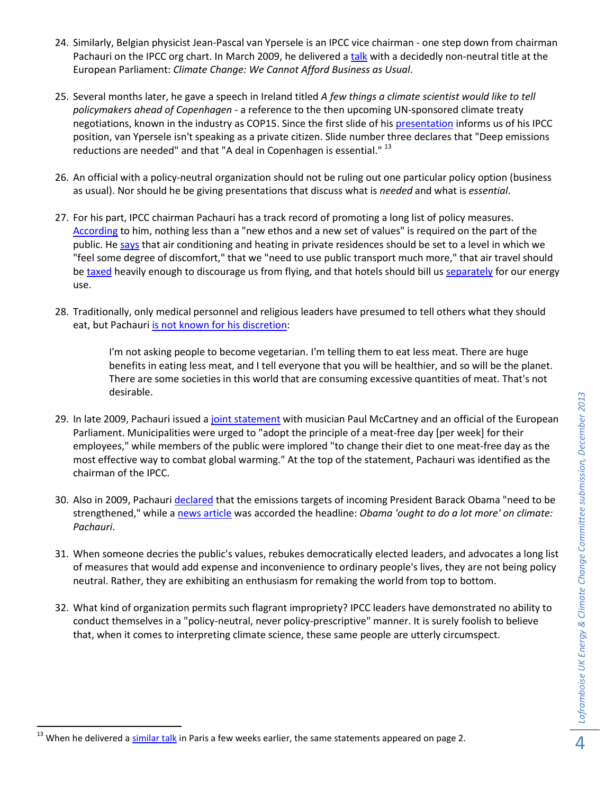- 24. Similarly, Belgian physicist Jean-Pascal van Ypersele is an IPCC vice chairman one step down from chairman Pachauri on the IPCC org chart. In March 2009, he delivered a [talk](http://archive.greens-efa.eu/cms/default/dokbin/277/277464.climate_change_we_cannot_afford_business@en.pdf) with a decidedly non-neutral title at the European Parliament: *Climate Change: We Cannot Afford Business as Usual*.
- 25. Several months later, he gave a speech in Ireland titled *A few things a climate scientist would like to tell policymakers ahead of Copenhagen* - a reference to the then upcoming UN-sponsored climate treaty negotiations, known in the industry as COP15. Since the first slide of hi[s presentation](http://www.epa-pictaural.com/media/cc/pdf/vanYpersele.pdf) informs us of his IPCC position, van Ypersele isn't speaking as a private citizen. Slide number three declares that "Deep emissions reductions are needed" and that "A deal in Copenhagen is essential." <sup>13</sup>
- 26. An official with a policy-neutral organization should not be ruling out one particular policy option (business as usual). Nor should he be giving presentations that discuss what is *needed* and what is *essential*.
- 27. For his part, IPCC chairman Pachauri has a track record of promoting a long list of policy measures. [According](http://thepolitic.org/tackling-climate-change-an-interview-with-rajendra-pachauri/) to him, nothing less than a "new ethos and a new set of values" is required on the part of the public. He [says](http://www.progressive.org/intv0509.html) that air conditioning and heating in private residences should be set to a level in which we "feel some degree of discomfort," that we "need to use public transport much more," that air travel should b[e taxed](http://www.theguardian.com/environment/2009/nov/29/rajendra-pachauri-climate-warning-copenhagen) heavily enough to discourage us from flying, and that hotels should bill us [separately](http://thepolitic.org/tackling-climate-change-an-interview-with-rajendra-pachauri/) for our energy use.
- 28. Traditionally, only medical personnel and religious leaders have presumed to tell others what they should eat, but Pachauri is not [known for his discretion:](http://www.progressive.org/intv0509.html)

I'm not asking people to become vegetarian. I'm telling them to eat less meat. There are huge benefits in eating less meat, and I tell everyone that you will be healthier, and so will be the planet. There are some societies in this world that are consuming excessive quantities of meat. That's not desirable.

- 29. In late 2009, Pachauri issued [a joint statement](http://www.europarl.europa.eu/climatechange/doc/Joint_statement_03122009.pdf) with musician Paul McCartney and an official of the European Parliament. Municipalities were urged to "adopt the principle of a meat-free day [per week] for their employees," while members of the public were implored "to change their diet to one meat-free day as the most effective way to combat global warming." At the top of the statement, Pachauri was identified as the chairman of the IPCC.
- 30. Also in 2009, Pachauri [declared](http://www.worldwatch.org/node/5991) that the emissions targets of incoming President Barack Obama "need to be strengthened," while a [news article](http://www.webcitation.org/5zbaRydTd) was accorded the headline: *Obama 'ought to do a lot more' on climate: Pachauri*.
- 31. When someone decries the public's values, rebukes democratically elected leaders, and advocates a long list of measures that would add expense and inconvenience to ordinary people's lives, they are not being policy neutral. Rather, they are exhibiting an enthusiasm for remaking the world from top to bottom.
- 32. What kind of organization permits such flagrant impropriety? IPCC leaders have demonstrated no ability to conduct themselves in a "policy-neutral, never policy-prescriptive" manner. It is surely foolish to believe that, when it comes to interpreting climate science, these same people are utterly circumspect.

l

<sup>&</sup>lt;sup>13</sup> When he delivered a [similar talk](http://www.smf.asso.fr/Ressources/fim2009/prez2310/TR4-VAN%20YPERSELE.pdf) in Paris a few weeks earlier, the same statements appeared on page 2.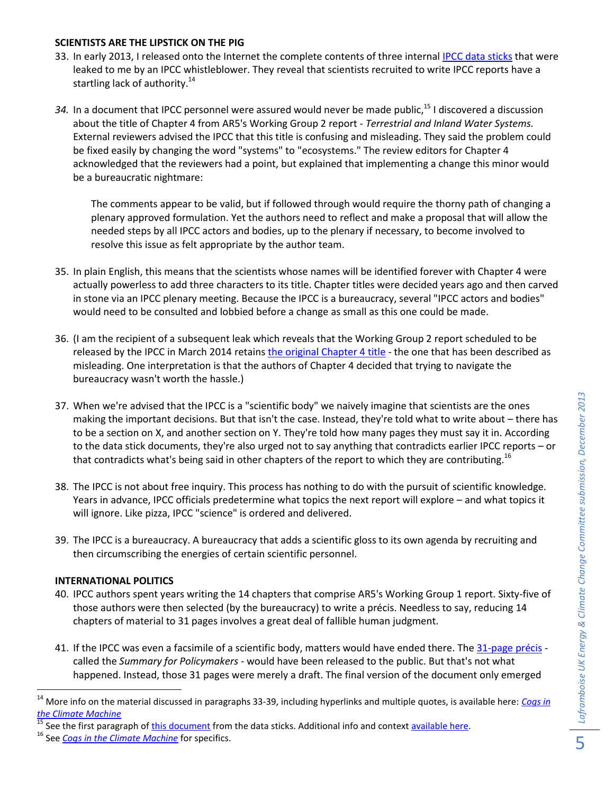## **SCIENTISTS ARE THE LIPSTICK ON THE PIG**

- 33. In early 2013, I released onto the Internet the complete contents of three internal [IPCC data sticks](http://nofrakkingconsensus.com/2013/01/08/the-secret-santa-leak/) that were leaked to me by an IPCC whistleblower. They reveal that scientists recruited to write IPCC reports have a startling lack of authority.<sup>14</sup>
- 34. In a document that IPCC personnel were assured would never be made public,<sup>15</sup> I discovered a discussion about the title of Chapter 4 from AR5's Working Group 2 report - *Terrestrial and Inland Water Systems.* External reviewers advised the IPCC that this title is confusing and misleading. They said the problem could be fixed easily by changing the word "systems" to "ecosystems." The review editors for Chapter 4 acknowledged that the reviewers had a point, but explained that implementing a change this minor would be a bureaucratic nightmare:

The comments appear to be valid, but if followed through would require the thorny path of changing a plenary approved formulation. Yet the authors need to reflect and make a proposal that will allow the needed steps by all IPCC actors and bodies, up to the plenary if necessary, to become involved to resolve this issue as felt appropriate by the author team.

- 35. In plain English, this means that the scientists whose names will be identified forever with Chapter 4 were actually powerless to add three characters to its title. Chapter titles were decided years ago and then carved in stone via an IPCC plenary meeting. Because the IPCC is a bureaucracy, several "IPCC actors and bodies" would need to be consulted and lobbied before a change as small as this one could be made.
- 36. (I am the recipient of a subsequent leak which reveals that the Working Group 2 report scheduled to be released by the IPCC in March 2014 retains [the original Chapter 4 title](http://nofrakkingconsensus.files.wordpress.com/2013/12/wg2_chpt4_title.jpg) - the one that has been described as misleading. One interpretation is that the authors of Chapter 4 decided that trying to navigate the bureaucracy wasn't worth the hassle.)
- 37. When we're advised that the IPCC is a "scientific body" we naively imagine that scientists are the ones making the important decisions. But that isn't the case. Instead, they're told what to write about – there has to be a section on X, and another section on Y. They're told how many pages they must say it in. According to the data stick documents, they're also urged not to say anything that contradicts earlier IPCC reports – or that contradicts what's being said in other chapters of the report to which they are contributing.  $^{16}$
- 38. The IPCC is not about free inquiry. This process has nothing to do with the pursuit of scientific knowledge. Years in advance, IPCC officials predetermine what topics the next report will explore – and what topics it will ignore. Like pizza, IPCC "science" is ordered and delivered.
- 39. The IPCC is a bureaucracy. A bureaucracy that adds a scientific gloss to its own agenda by recruiting and then circumscribing the energies of certain scientific personnel.

## **INTERNATIONAL POLITICS**

 $\overline{\phantom{a}}$ 

- 40. IPCC authors spent years writing the 14 chapters that comprise AR5's Working Group 1 report. Sixty-five of those authors were then selected (by the bureaucracy) to write a précis. Needless to say, reducing 14 chapters of material to 31 pages involves a great deal of fallible human judgment.
- 41. If the IPCC was even a facsimile of a scientific body, matters would have ended there. The [31-page précis](http://nofrakkingconsensus.files.wordpress.com/2013/10/wg1ar5-spm_fd_final.pdf) called the *Summary for Policymakers* - would have been released to the public. But that's not what happened. Instead, those 31 pages were merely a draft. The final version of the document only emerged

<sup>14</sup> More info on the material discussed in paragraphs 33-39, including hyperlinks and multiple quotes, is available here: *[Cogs in](http://nofrakkingconsensus.com/2013/01/10/cogs-in-the-climate-machine/)  [the Climate Machine](http://nofrakkingconsensus.com/2013/01/10/cogs-in-the-climate-machine/)*

If See the first paragraph of [this document](http://nofrakkingconsensus.files.wordpress.com/2013/01/re_reportsoverview.pdf) from the data sticks. Additional info and context [available here.](http://nofrakkingconsensus.com/2013/01/09/are-a-third-of-ipcc-review-editors-mia/)

<sup>16</sup> See *[Cogs in the Climate Machine](http://nofrakkingconsensus.com/2013/01/10/cogs-in-the-climate-machine/)* for specifics.